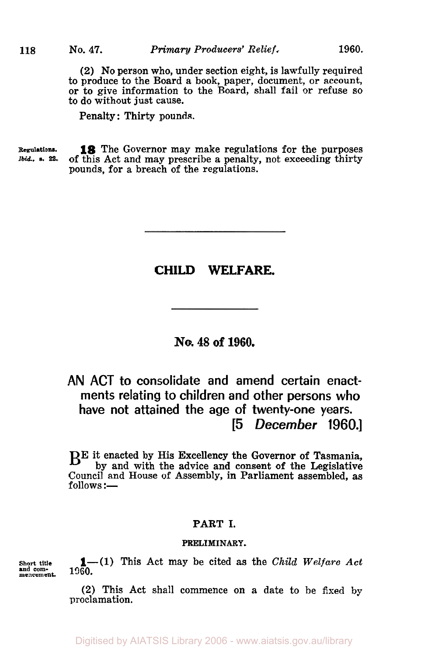(2) No person who, under section eight, is lawfully required to produce to the Board a book, paper, document, or account, or to give information to the Board, shall fail or refuse so to do without just cause.

Penalty: Thirty pounds.

**Regulations.**  Ibid. *s.* **22. 18** The Governor may make regulations for the purposes of this Act and may prescribe a penalty, not exceeding thirty pounds, for a breach of the regulations.

# **CHILD WELFARE.**

## **No. 48 of 1960.**

# **AN ACT to consolidate and amend certain enactments relating to children and other persons who have not attained the age of twenty-one years. [5** *December* **1960.]**

BE it enacted by His Excellency the Governor of Tasmania, by and with the advice and consent of the Legislative Council and House of Assembly, in Parliament assembled, as  $follows :=$ 

## PART I.

#### **PRELIMINARY.**

**mencement.** 

Short title  $1-\frac{1}{1060}$ . This Act may be cited as the *Child Welfare Act* 

*(2)* This Act shall commence on a date to be fixed by proclamation.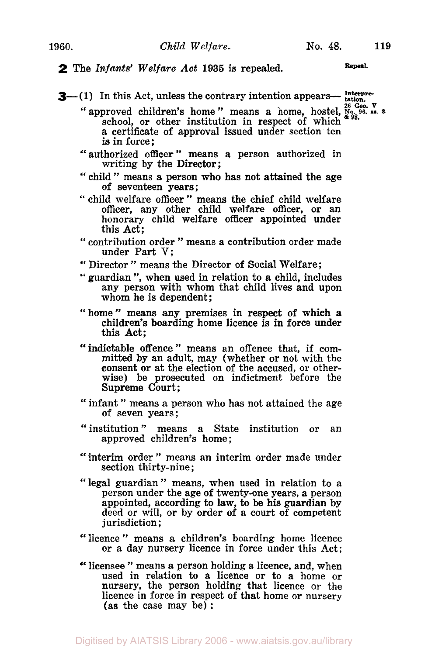## **2** The *Infants' Welfare* Act **1935** is repealed. **Repeal**

**3**—(1) In this Act, unless the contrary intention appears— tation.

- *v* approved children's home " means a home, hostel, No. 96, es. 3<sup>26</sup> Geo. **V Signal** school, or other institution in respect of which  $*98$ . a certificate of approval issued under section ten is in force;
- " authorized officer " means a person authorized in writing by the Director;
- " child " means a person who has not attained the age of seventeen years ;
- " child welfare officer " means the chief child welfare officer, any other child welfare officer, or an honorary child welfare officer appointed under this Act;
- " contribution order " means a contribution order made under Part V;
- " Director " means the Director of Social Welfare;
- " guardian ", when used in relation to **a** child, includes any person with whom that child lives and upon whom he is dependent;
- "home" means any premises in respect of which a children's boarding home licence is in force under this Act;
- "indictable offence" means an offence that, if committed by an adult, may (whether or not with the consent or at the election of the accused, or otherwise) be prosecuted on indictment before the Supreme Court;
- " infant " means a person who has not attained the age of seven years ;
- "institution" means a State institution or an approved children's home;
- " interim order " means an interim order made under section thirty-nine ;
- "legal guardian" means, when used in relation to a person under the age of twenty-one years, a person appointed, according to law, to be his guardian by deed or will, or by order of a court of competent jurisdiction ;
- "licence" means a children's boarding home licence or a day nursery licence in force under this Act;
- " licensee " means a person holding a licence, and, when used in relation to a licence or to a home or nursery, the person holding that licence or the licence in force in respect of that home or nursery (as the case may be) :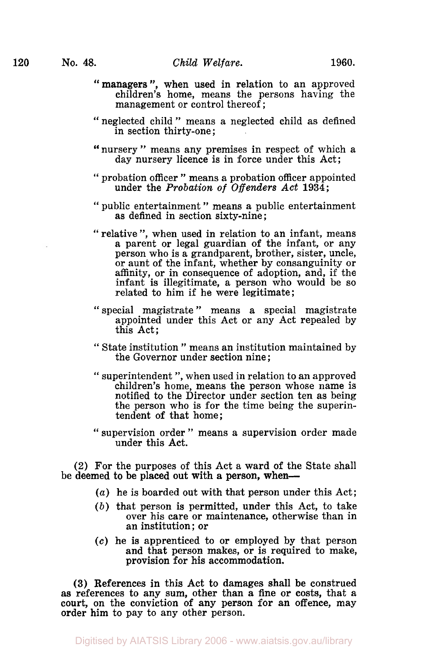- "managers", when used in relation to an approved children's home, means the persons having the management or control thereof;
- "neglected child" means a neglected child as defined in section thirty-one ;
- nursery" means any premises in respect of which a **"**  day nursery licence is in force under this Act;
- " probation officer " means a probation officer appointed under the *Probation of Offenders Act* **1934;**
- " public entertainment " means a public entertainment as defined in section sixty-nine;
- " relative ", when used in relation to an infant, means a parent or legal guardian of the infant, or any person who is a grandparent, brother, sister, uncle, or aunt of the infant, whether by consanguinity or affinity, or in consequence of adoption, and, if the infant is illegitimate, a person who would be so related to him if he were legitimate;
- " special magistrate " means a special magistrate appointed under this Act or any Act repealed by this Act;
- " State institution " means an institution maintained by the Governor under section nine ;
- " superintendent ", when used in relation to an approved children's home, means the person whose name is notified to the Director under section ten as being the person who is for the time being the superintendent **of** that home;
- " supervision order " means a supervision order made under this Act.

(2) For the purposes of this Act **a** ward of the State shall be deemed to be placed out with a person, when-

- *(a)* he is boarded out with that person under this Act;
- *(b)* that person is permitted, under this Act, to take over his care or maintenance, otherwise than in an institution; or
- *(c)* he is apprenticed to or employed by that person and that person makes, or is required to make, provision for his accommodation.

**(3)** References in this Act to damages shall be construed as references to any sum, other than a fine **or** costs, that a court, on the conviction of any person for an offence, may order him to pay to any other person.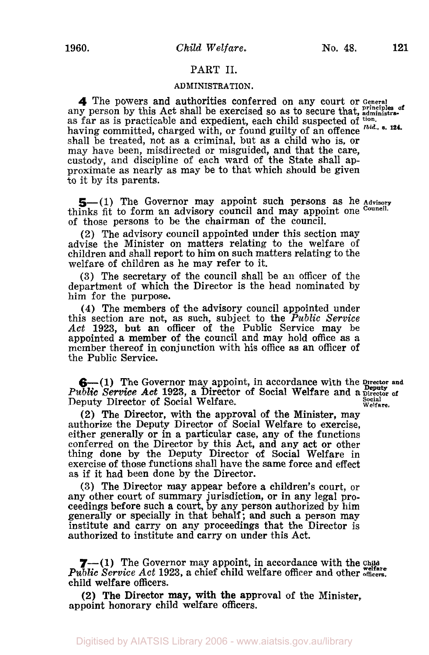### **PART 11.**

### **ADMINISTRATION.**

**4** The powers and authorities conferred on any court or **General**  any person by this Act shall be exercised so as to secure that, *administra*as far as is practicable and expedient, each child suspected of <sup>tion</sup>. having committed, charged with, or found guilty of an offence <sup>tbid.</sup> s. 124. shall be treated, not as a criminal, but as a child who is, or may have been, misdirected or misguided, and that the care, custody, and discipline of each ward of the State shall approximate as nearly as may be to that which should be given to it by its parents.

5-(1) The Governor may appoint such persons as he Advisory thinks fit to form an advisory council and may appoint one **Council.**  of those persons to be the chairman of the council.

**(2)** The advisory council appointed under this section may advise the Minister on matters relating to the welfare of children and shall report to him on such matters relating to the welfare of children as he may refer to it.

**(3)** The secretary of the council shall be an officer of the department of which the Director is the head nominated by him for the purpose.

**(4)** The members of the advisory council appointed under this section are not, as such, subject to the *Public Service Act* **1923,** but an officer of the Public Service may be appointed a member **of** the council and may hold office as a member thereof in conjunction with his office as an officer of the Public Service.

**6**— (1) The Governor may appoint, in accordance with the prector and *Public Service Act* **1923,** a Director of Social Welfare and a **Director of Social** Deputy Director of Social Welfare. **Welfare.** 

**(2)** The Director, with the approval of the Minister, may authorize the Deputy Director of Social Welfare to exercise, either generally or in a particular case, any of the functions conferred on the Director by this Act, and any act or other thing done by the Deputy Director **of** Social Welfare in exercise of those functions shall have the same force and effect as if it had been done by the Director.

**(3)** The Director may appear before a children's court, or any other court of summary jurisdiction, or in any legal proceedings before such **a** court, by any person authorized by him generally or specially in that behalf; and such a person may institute and carry on any proceedings that the Director is authorized to institute and carry on under this Act.

*7-(* **1)** The Governor may appoint, in accordance with the **Child welfare** *Public Service Act* **1923,** a chief child welfare officer and other **officers.**  child welfare officers.

appoint honorary child welfare officers. (2) The Director may, with the approval of the Minister,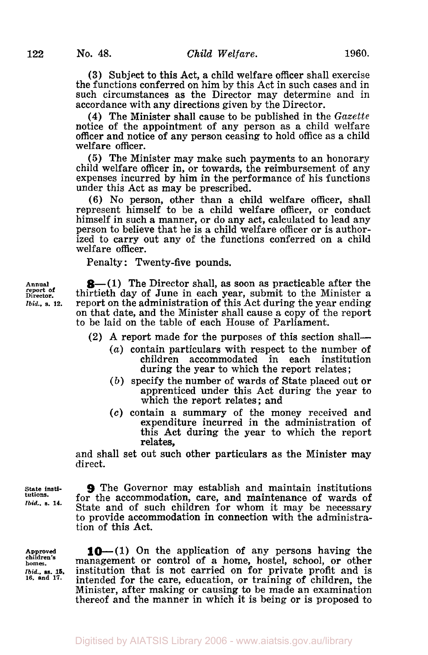**(3)** Subject to this Act, a child welfare officer shall exercise the functions conferred on him by this Act in such cases and in such circumstances as the Director may determine and in accordance with any directions given by the Director.

**(4)** The Minister shall cause to be published in the *Gazette*  notice of the appointment of any person as a child welfare officer and notice of any person ceasing to hold office as a child welfare officer.

*(5)* The Minister may make such payments to an honorary child welfare officer in, or towards, the reimbursement of any expenses incurred by him in the performance of his functions under this Act as may be prescribed.

(6) No person, other than a child welfare officer, shall represent himself to be a child welfare officer, or conduct himself in such a manner, or do any act, calculated to lead any person to believe that he is **a** child welfare officer or is authorized to carry out any of the functions conferred on a child welfare officer.

Penalty: Twenty-five pounds.

**8**—(1) The Director shall, as soon as practicable after the thirtieth day **of** June in each year, submit to the Minister a report on the administration of this Act during the year ending on that date, and the Minister shall cause a copy of the report to be laid on the table of each House of Parliament.

**(2)** A report made for the purposes of this section shall-

- *(a)* contain particulars with respect to the number of children accommodated in each during the year to which the report relates ;
- *(b)* specify the number of wards of State placed out or apprenticed under this Act during the year to which the report relates ; and
- *(c)* contain a summary of the money received and expenditure incurred in the administration of this Act during the year to which the report relates,

and shall set out such other particulars as the Minister may direct.

**State institutions.**  *Ibid.. s.* **14.** 

**9** The Governor may establish and maintain institutions for the accommodation, care, and maintenance **of** wards of State and of such children for whom it may be necessary to provide accommodation in connection with the administration of this Act.

**Approved children's home.**  *Ibid..* **ss. 15. 16. and 17.** 

**10**-(1) On the application of any persons having the management or control of a home, hostel, school, or other institution that is not carried on for private profit and is intended for the care, education, or training of children, the Minister, after making or causing to be made an examination thereof and the manner in which it is being or is proposed to

**Annual report of Director.**  *Ibid..* **s. 12.**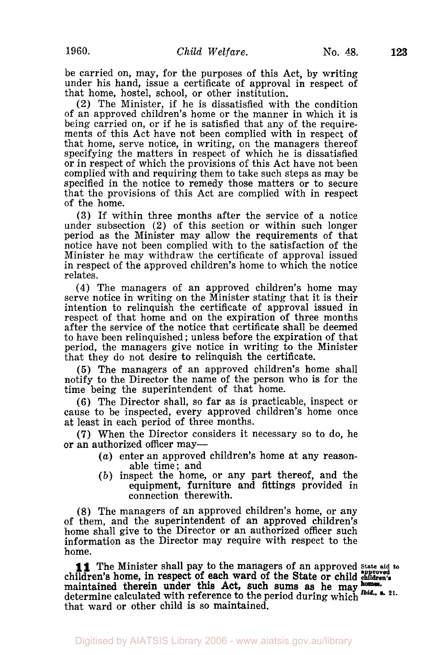be carried on, may, for the purposes of this Act, by writing under his hand, issue a certificate of approval in respect of that home, hostel, school, or other institution.

(2) The Minister, if he is dissatisfied with the condition of an approved children's home or the manner in which it is being carried on, or if he is satisfied that any of the requirements of this Act have not been complied with in respect of that home, serve notice, in writing, on the managers thereof specifying the matters in respect of which he is dissatisfied or in respect of which the provisions of this Act have not been complied with and requiring them to take such steps as may be specified in the notice to remedy those matters or to secure that the provisions of this Act are complied with in respect of the home.

**(3)** If within three months after the service of a notice under subsection (2) of this section or within such longer period as the Minister may allow the requirements of that notice have not been complied with to the satisfaction of the Minister he may withdraw the certificate of approval issued in respect of the approved children's home to which the notice relates.

**(4)** The managers of an approved children's home may serve notice in writing on the Minister stating that it is their intention to relinquish the certificate of approval issued in respect of that home and on the expiration of three months after the service of the notice that certificate shall be deemed to have been relinquished; unless before the expiration of that period, the managers give notice in writing **to** the Minister that they do not desire to relinquish the certificate.

*(5)* The managers of an approved children's home shall notify to the Director the name of the person who is for the time being the superintendent of that home.

**(6)** The Director shall, so far as is practicable, inspect or cause to be inspected, every approved children's home once at least in each period of three months.

**(7)** When the Director considers it necessary so to do, he or an authorized officer may-

- *(a)* enter an approved children's home at any reasonable time; and
- *(b)* inspect the home, or any part thereof, and the equipment, furniture and fittings provided in connection therewith.

(8) The managers of an approved children's home, or any of them, and the superintendent of an approved children's home shall give to the Director or an authorized officer such information as the Director may require with respect to the home.

children's home, in respect of each ward of the State or child **children's**  maintained therein under this Act, such sums as he may determine calculated with reference to the period during which **21.**  that ward or other child is so maintained. **11** The Minister shall pay to the managers of an approved *State aid* to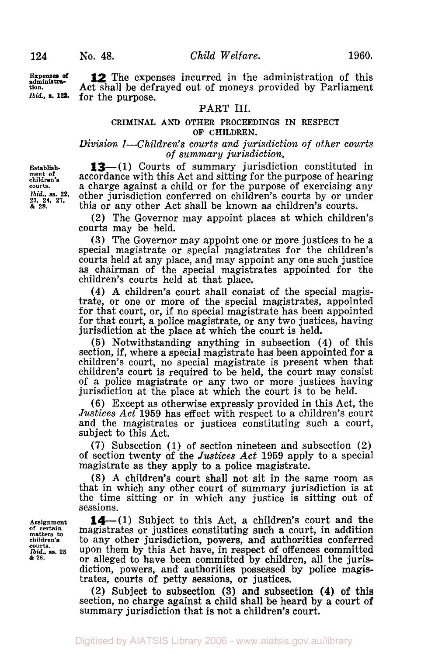**Expenses** *of*  **adminiatration.**  *Ibid..* **S. 123.** 

**12** The expenses incurred in the administration of this Act shall be defrayed out of moneys provided by Parliament for the purpose.

## PART **III.**

#### CRIMINAL **AND** OTHER PROCEEDINGS IN RESPECT OF CHILDREN.

#### *Division I-Children's courts and jurisdiction of other courts of summary jurisdiction.*

**Establishment of children's courts.**  *Ibid., ss.* **22.**  *23.* **24. 27.**  & **28.** 

**13**-(1) Courts of summary jurisdiction constituted in accordance with this Act and sitting for the purpose of hearing a charge against a child or for the purpose of exercising any other jurisdiction conferred on children's courts by or under this or any other Act shall be known as children's courts.

**(2)** The Governor may appoint places at which children's courts may be held.

**(3)** The Governor may appoint one or more justices to be a special magistrate or special magistrates for the children's courts held at any place, and may appoint any one such justice as chairman of the special magistrates appointed for the children's courts held at that place.

**(4) A** children's court shall consist of the special magistrate, or one or more of the special magistrates, appointed for that court, or, if no special magistrate has been appointed for that court, a police magistrate, or any two justices, having jurisdiction at the place at which the court is held.

**(5)** Notwithstanding anything in subsection **(4)** of this section, if, where a special magistrate has been appointed for a children's court, no special magistrate is present when that children's court is required to be held, the court may consist of a police magistrate or any two or more justices having jurisdiction at the place at which the court is to be held.

**(6)** Except as otherwise expressly provided in this Act, the *Justices Act* **1959** has effect with respect to a children's court and the magistrates or justices constituting such a court, subject to this Act.

(7) Subsection **(1)** of section nineteen and subsection (2) of section twenty **of** the *Justices Act* **1959** apply to a special magistrate as they apply to a police magistrate.

(8) **A** children's court shall not sit in the same room as that in which any other court of summary jurisdiction is at the time sitting or in which any justice is sitting out of sessions.

**Assignment of certain matters to children's courts.**  *Ibid..* **ss. 25**  & **26.** 

**14** - (1) Subject to this Act, a children's court and the magistrates or justices constituting such a court, in addition to any other jurisdiction, powers, and authorities conferred upon them by this Act have, in respect of offences committed or alleged to have been committed by children, all the jurisdiction, powers, and authorities possessed by police magistrates, courts of petty sessions, or justices.

(2) Subject to subsection **(3)** and subsection **(4) of this**  section, no charge against **a** child shall be heard by a court **of**  summary jurisdiction that is not a children's court.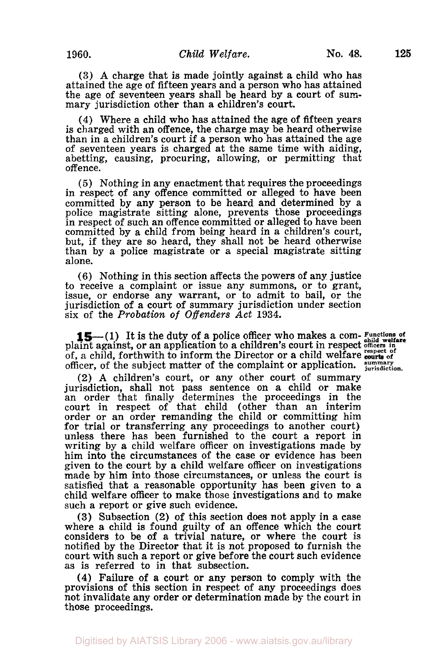**125** 

**(3) A** charge that is made jointly against a child who has attained the age of fifteen years and a person who has attained the age of seventeen years shall be heard by a court of summary jurisdiction other than a children's court.

**(4)** Where a child who has attained the age of fifteen years is charged with an offence, the charge may be heard otherwise than in a children's court if a person who has attained the age of seventeen years is charged at the same time with aiding, abetting, causing, procuring, allowing, or permitting that offence.

(5) Nothing in any enactment that requires the proceedings in respect of any offence committed or alleged to have been committed by any person to be heard and determined by a police magistrate sitting alone, prevents those proceedings in respect of such an offence committed or alleged to have been committed by a child from being heard in a children's court, but, if they are so heard, they shall not be heard otherwise than by a police magistrate **or** a special magistrate sitting alone.

**(6)** Nothing in this section affects the powers of any justice to receive a complaint or issue any summons, or to grant, issue, or endorse any warrant, or to admit to bail, or the jurisdiction of a court of summary jurisdiction under section six of the *Probation of Offenders Act* **1934.** 

**15**-(1) It is the duty of a police officer who makes a com- **Functions** of plaint against, or an application to a children's court in respect officers in of, a child, forthwith to inform the Director or a child welfare courts of officer, of the subject matter of the complaint or application. *summary* jurisdiction.

**(2) A** children's court, or any other court of summary jurisdiction, shall not pass sentence on a child or make an order that finally determines the proceedings in the court in respect of that child (other than an interim order or an order remanding the child or committing him for trial or transferring any proceedings to another court) unless there has been furnished to the court a report in writing by a child welfare officer on investigations made by him into the circumstances of the **case** or evidence has been given to the court by a child welfare officer on investigations made by him into those circumstances, or unless the court is satisfied that a reasonable opportunity has been given to a child welfare officer to make those investigations and to make such a report or give such evidence.

**(3)** Subsection (2) of this section does not apply in a case where a child is found guilty of an offence which the court considers to be of a trivial nature, or where the court is notified by the Director that it is not proposed to furnish the court with such **a** report or give before the court such evidence as is referred to in that subsection.

**(4)** Failure **of a** court or any person to comply with the provisions of this section in respect of any proceedings does not invalidate any order or determination made by the court in those proceedings.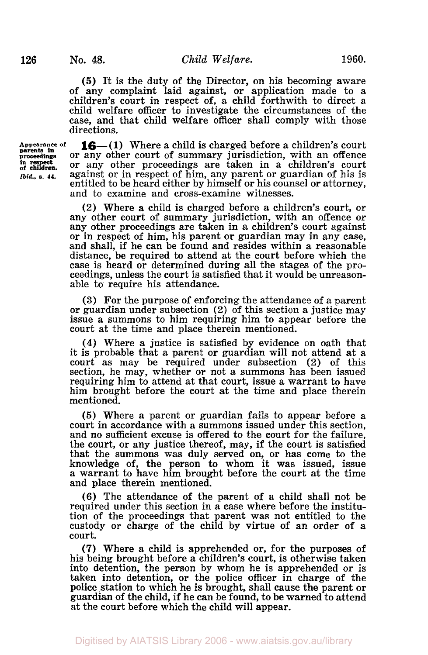**(5)** It is the duty of the Director, on his becoming aware of any complaint laid against, or application made to a children's court in respect of, a child forthwith to direct a child welfare officer to investigate the circumstances of the case, and that child welfare officer shall comply with those directions.

**parents in in respect** 

**Appearance of 16-( 1)** Where a child is charged before a children's court parents in or any other court of summary jurisdiction, with an offence **of** or any other proceedings are taken in a children's court *Ibid.*, s. 44. against or in respect of him, any parent or guardian of his is entitled to be heard either by himself or his counsel or attorney, and to examine and cross-examine witnesses.

> (2) Where a child is charged before a children's court, or any other court of summary jurisdiction, with an offence or any other proceedings are taken in a children's court against or in respect of him, his parent or guardian may in any case, and shall, if he can be found and resides within a reasonable distance, be required to attend at the court before which the case is heard or determined during all the stages of the pro- ceedings, unless the court is satisfied that it would be unreasonable to require his attendance.

> **(3)** For the purpose of enforcing the attendance of a parent or guardian under subsection **(2)** of this section a justice may issue a summons to him requiring him to appear before the court at the time and place therein mentioned.

> **(4)** Where a justice is satisfied by evidence on oath that it is probable that a parent or guardian will not attend at a court as may be required under subsection (2) of this section, he may, whether or not a summons has been issued requiring him to attend at that court, issue a warrant to have him brought before the court at the time and place therein mentioned.

> **(5)** Where a parent or guardian fails to appear before a court in accordance with a summons issued under this section, and no sufficient excuse is offered to the court for the failure, the court, or any justice thereof, may, if the court is satisfied that the summons was duly served on, or has come to the knowledge of, the person to whom it was issued, issue a warrant to have him brought before the court at the time and place therein mentioned.

> **(6)** The attendance of the parent of a child shall not be required under this section in a case where before the institution of the proceedings that parent was not entitled to the custody or charge of the child by virtue of an order of a court.

> *(7)* Where a child is apprehended or, for the purposes of his being brought before a children's court, is otherwise taken into detention, the person by whom he is apprehended or is taken into detention, or the police officer in charge of the police station to which he is brought, shall cause the parent or guardian of the child, if he can be found, to be warned to attend at the court before which the child will appear.